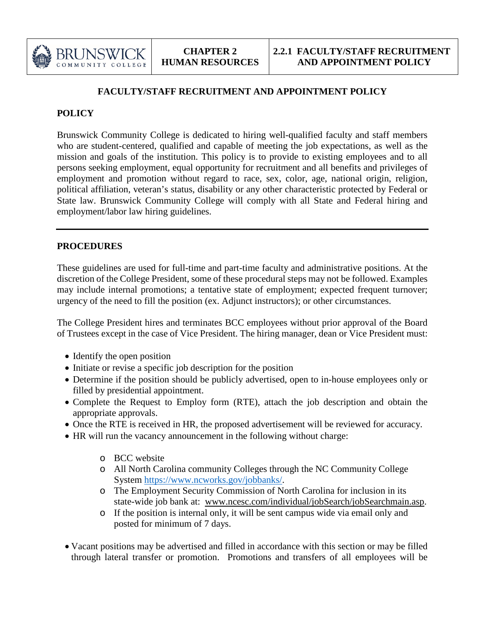

# **FACULTY/STAFF RECRUITMENT AND APPOINTMENT POLICY**

# **POLICY**

Brunswick Community College is dedicated to hiring well-qualified faculty and staff members who are student-centered, qualified and capable of meeting the job expectations, as well as the mission and goals of the institution. This policy is to provide to existing employees and to all persons seeking employment, equal opportunity for recruitment and all benefits and privileges of employment and promotion without regard to race, sex, color, age, national origin, religion, political affiliation, veteran's status, disability or any other characteristic protected by Federal or State law. Brunswick Community College will comply with all State and Federal hiring and employment/labor law hiring guidelines.

# **PROCEDURES**

These guidelines are used for full-time and part-time faculty and administrative positions. At the discretion of the College President, some of these procedural steps may not be followed. Examples may include internal promotions; a tentative state of employment; expected frequent turnover; urgency of the need to fill the position (ex. Adjunct instructors); or other circumstances.

The College President hires and terminates BCC employees without prior approval of the Board of Trustees except in the case of Vice President. The hiring manager, dean or Vice President must:

- Identify the open position
- Initiate or revise a specific job description for the position
- Determine if the position should be publicly advertised, open to in-house employees only or filled by presidential appointment.
- Complete the Request to Employ form (RTE), attach the job description and obtain the appropriate approvals.
- Once the RTE is received in HR, the proposed advertisement will be reviewed for accuracy.
- HR will run the vacancy announcement in the following without charge:
	- o BCC website
	- o All North Carolina community Colleges through the NC Community College System [https://www.ncworks.gov/jobbanks/.](https://www.ncworks.gov/jobbanks/)
	- o The Employment Security Commission of North Carolina for inclusion in its state-wide job bank at: [www.ncesc.com/individual/jobSearch/jobSearchmain.asp.](http://www.ncesc.com/individual/jobSearch/jobSearchmain.asp)
	- o If the position is internal only, it will be sent campus wide via email only and posted for minimum of 7 days.
- Vacant positions may be advertised and filled in accordance with this section or may be filled through lateral transfer or promotion. Promotions and transfers of all employees will be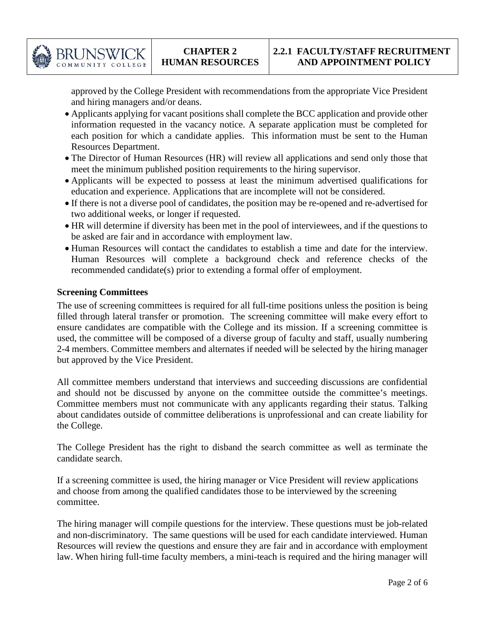

approved by the College President with recommendations from the appropriate Vice President and hiring managers and/or deans.

- Applicants applying for vacant positions shall complete the BCC application and provide other information requested in the vacancy notice. A separate application must be completed for each position for which a candidate applies. This information must be sent to the Human Resources Department.
- The Director of Human Resources (HR) will review all applications and send only those that meet the minimum published position requirements to the hiring supervisor.
- Applicants will be expected to possess at least the minimum advertised qualifications for education and experience. Applications that are incomplete will not be considered.
- If there is not a diverse pool of candidates, the position may be re-opened and re-advertised for two additional weeks, or longer if requested.
- HR will determine if diversity has been met in the pool of interviewees, and if the questions to be asked are fair and in accordance with employment law.
- Human Resources will contact the candidates to establish a time and date for the interview. Human Resources will complete a background check and reference checks of the recommended candidate(s) prior to extending a formal offer of employment.

### **Screening Committees**

The use of screening committees is required for all full-time positions unless the position is being filled through lateral transfer or promotion. The screening committee will make every effort to ensure candidates are compatible with the College and its mission. If a screening committee is used, the committee will be composed of a diverse group of faculty and staff, usually numbering 2-4 members. Committee members and alternates if needed will be selected by the hiring manager but approved by the Vice President.

All committee members understand that interviews and succeeding discussions are confidential and should not be discussed by anyone on the committee outside the committee's meetings. Committee members must not communicate with any applicants regarding their status. Talking about candidates outside of committee deliberations is unprofessional and can create liability for the College.

The College President has the right to disband the search committee as well as terminate the candidate search.

If a screening committee is used, the hiring manager or Vice President will review applications and choose from among the qualified candidates those to be interviewed by the screening committee.

The hiring manager will compile questions for the interview. These questions must be job-related and non-discriminatory. The same questions will be used for each candidate interviewed. Human Resources will review the questions and ensure they are fair and in accordance with employment law. When hiring full-time faculty members, a mini-teach is required and the hiring manager will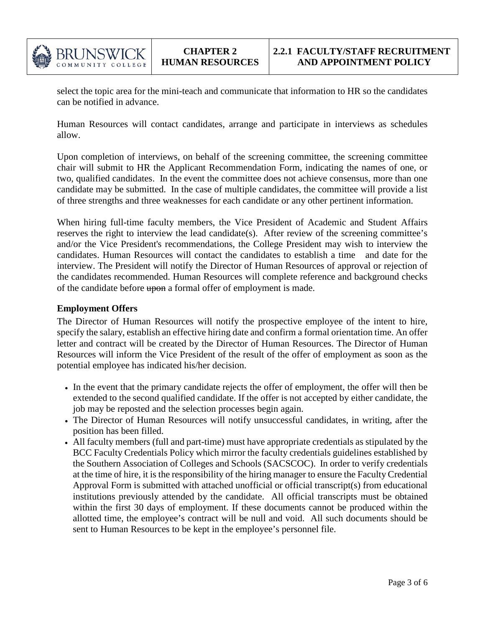

select the topic area for the mini-teach and communicate that information to HR so the candidates can be notified in advance.

Human Resources will contact candidates, arrange and participate in interviews as schedules allow.

Upon completion of interviews, on behalf of the screening committee, the screening committee chair will submit to HR the Applicant Recommendation Form, indicating the names of one, or two, qualified candidates. In the event the committee does not achieve consensus, more than one candidate may be submitted. In the case of multiple candidates, the committee will provide a list of three strengths and three weaknesses for each candidate or any other pertinent information.

When hiring full-time faculty members, the Vice President of Academic and Student Affairs reserves the right to interview the lead candidate(s). After review of the screening committee's and/or the Vice President's recommendations, the College President may wish to interview the candidates. Human Resources will contact the candidates to establish a time and date for the interview. The President will notify the Director of Human Resources of approval or rejection of the candidates recommended. Human Resources will complete reference and background checks of the candidate before upon a formal offer of employment is made.

### **Employment Offers**

The Director of Human Resources will notify the prospective employee of the intent to hire, specify the salary, establish an effective hiring date and confirm a formal orientation time. An offer letter and contract will be created by the Director of Human Resources. The Director of Human Resources will inform the Vice President of the result of the offer of employment as soon as the potential employee has indicated his/her decision.

- In the event that the primary candidate rejects the offer of employment, the offer will then be extended to the second qualified candidate. If the offer is not accepted by either candidate, the job may be reposted and the selection processes begin again.
- The Director of Human Resources will notify unsuccessful candidates, in writing, after the position has been filled.
- All faculty members (full and part-time) must have appropriate credentials as stipulated by the BCC Faculty Credentials Policy which mirror the faculty credentials guidelines established by the Southern Association of Colleges and Schools (SACSCOC). In order to verify credentials at the time of hire, it is the responsibility of the hiring manager to ensure the Faculty Credential Approval Form is submitted with attached unofficial or official transcript(s) from educational institutions previously attended by the candidate. All official transcripts must be obtained within the first 30 days of employment. If these documents cannot be produced within the allotted time, the employee's contract will be null and void. All such documents should be sent to Human Resources to be kept in the employee's personnel file.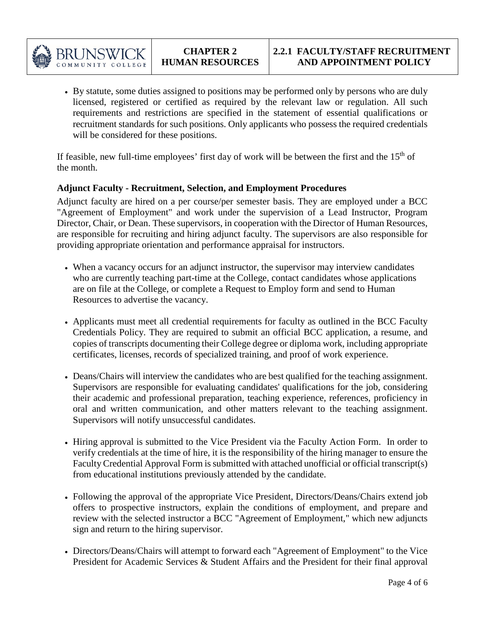

• By statute, some duties assigned to positions may be performed only by persons who are duly licensed, registered or certified as required by the relevant law or regulation. All such requirements and restrictions are specified in the statement of essential qualifications or recruitment standards for such positions. Only applicants who possess the required credentials will be considered for these positions.

If feasible, new full-time employees' first day of work will be between the first and the  $15<sup>th</sup>$  of the month.

### **Adjunct Faculty - Recruitment, Selection, and Employment Procedures**

Adjunct faculty are hired on a per course/per semester basis. They are employed under a BCC "Agreement of Employment" and work under the supervision of a Lead Instructor, Program Director, Chair, or Dean. These supervisors, in cooperation with the Director of Human Resources, are responsible for recruiting and hiring adjunct faculty. The supervisors are also responsible for providing appropriate orientation and performance appraisal for instructors.

- When a vacancy occurs for an adjunct instructor, the supervisor may interview candidates who are currently teaching part-time at the College, contact candidates whose applications are on file at the College, or complete a Request to Employ form and send to Human Resources to advertise the vacancy.
- Applicants must meet all credential requirements for faculty as outlined in the BCC Faculty Credentials Policy. They are required to submit an official BCC application, a resume, and copies of transcripts documenting their College degree or diploma work, including appropriate certificates, licenses, records of specialized training, and proof of work experience.
- Deans/Chairs will interview the candidates who are best qualified for the teaching assignment. Supervisors are responsible for evaluating candidates' qualifications for the job, considering their academic and professional preparation, teaching experience, references, proficiency in oral and written communication, and other matters relevant to the teaching assignment. Supervisors will notify unsuccessful candidates.
- Hiring approval is submitted to the Vice President via the Faculty Action Form. In order to verify credentials at the time of hire, it is the responsibility of the hiring manager to ensure the Faculty Credential Approval Form is submitted with attached unofficial or official transcript(s) from educational institutions previously attended by the candidate.
- Following the approval of the appropriate Vice President, Directors/Deans/Chairs extend job offers to prospective instructors, explain the conditions of employment, and prepare and review with the selected instructor a BCC "Agreement of Employment," which new adjuncts sign and return to the hiring supervisor.
- Directors/Deans/Chairs will attempt to forward each "Agreement of Employment" to the Vice President for Academic Services & Student Affairs and the President for their final approval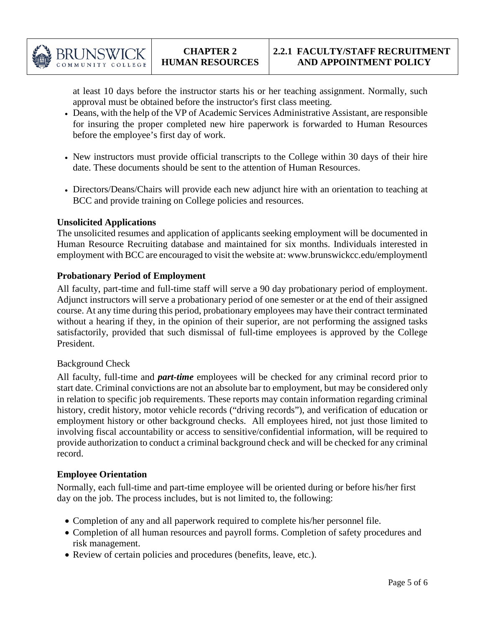

at least 10 days before the instructor starts his or her teaching assignment. Normally, such approval must be obtained before the instructor's first class meeting.

- Deans, with the help of the VP of Academic Services Administrative Assistant, are responsible for insuring the proper completed new hire paperwork is forwarded to Human Resources before the employee's first day of work.
- New instructors must provide official transcripts to the College within 30 days of their hire date. These documents should be sent to the attention of Human Resources.
- Directors/Deans/Chairs will provide each new adjunct hire with an orientation to teaching at BCC and provide training on College policies and resources.

### **Unsolicited Applications**

The unsolicited resumes and application of applicants seeking employment will be documented in Human Resource Recruiting database and maintained for six months. Individuals interested in employment with BCC are encouraged to visit the website at: www.brunswickcc.edu/employmentl

### **Probationary Period of Employment**

All faculty, part-time and full-time staff will serve a 90 day probationary period of employment. Adjunct instructors will serve a probationary period of one semester or at the end of their assigned course. At any time during this period, probationary employees may have their contract terminated without a hearing if they, in the opinion of their superior, are not performing the assigned tasks satisfactorily, provided that such dismissal of full-time employees is approved by the College President.

#### Background Check

All faculty, full-time and *part-time* employees will be checked for any criminal record prior to start date. Criminal convictions are not an absolute bar to employment, but may be considered only in relation to specific job requirements. These reports may contain information regarding criminal history, credit history, motor vehicle records ("driving records"), and verification of education or employment history or other background checks. All employees hired, not just those limited to involving fiscal accountability or access to sensitive/confidential information, will be required to provide authorization to conduct a criminal background check and will be checked for any criminal record.

### **Employee Orientation**

Normally, each full-time and part-time employee will be oriented during or before his/her first day on the job. The process includes, but is not limited to, the following:

- Completion of any and all paperwork required to complete his/her personnel file.
- Completion of all human resources and payroll forms. Completion of safety procedures and risk management.
- Review of certain policies and procedures (benefits, leave, etc.).